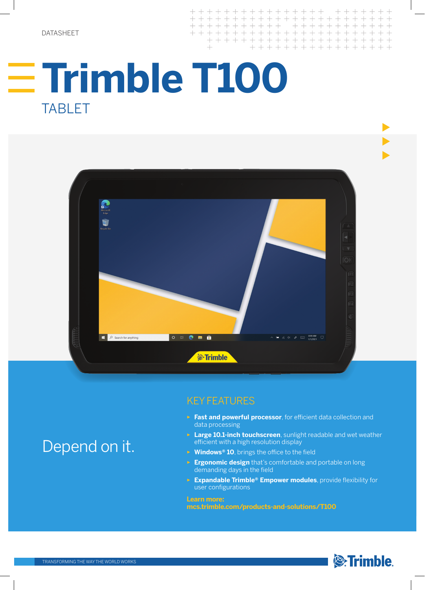DATASHEET

# **Trimble T100** TABLET

 $+$ 

+ + + + + + + + + + + +

+ + + + + + + + + + + + + + + + +



+ + + + + + + + +

 $\overline{+}$ 

 $\perp$ 

### KEY FEATURES

- ► **Fast and powerful processor**, for efficient data collection and data processing
- ► **Large 10.1-inch touchscreen**, sunlight readable and wet weather efficient with a high resolution display
- ► **Windows® 10**, brings the office to the field
- ► **Ergonomic design** that's comfortable and portable on long demanding days in the field
- ► **Expandable Trimble® Empower modules**, provide flexibility for user configurations

### **Learn more:**

**mcs.trimble.com/products-and-solutions/T100**



## Depend on it.